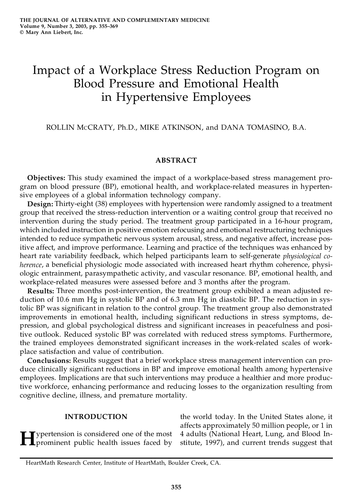# Impact of a Workplace Stress Reduction Program on Blood Pressure and Emotional Health in Hypertensive Employees

# ROLLIN MCCRATY, Ph.D., MIKE ATKINSON, and DANA TOMASINO, B.A.

# **ABSTRACT**

**Objectives:** This study examined the impact of a workplace-based stress management program on blood pressure (BP), emotional health, and workplace-related measures in hypertensive employees of a global information technology company.

**Design:** Thirty-eight (38) employees with hypertension were randomly assigned to a treatment group that received the stress-reduction intervention or a waiting control group that received no intervention during the study period. The treatment group participated in a 16-hour program, which included instruction in positive emotion refocusing and emotional restructuring techniques intended to reduce sympathetic nervous system arousal, stress, and negative affect, increase positive affect, and improve performance. Learning and practice of the techniques was enhanced by heart rate variability feedback, which helped participants learn to self-generate *physiological coherence*, a beneficial physiologic mode associated with increased heart rhythm coherence, physiologic entrainment, parasympathetic activity, and vascular resonance. BP, emotional health, and workplace-related measures were assessed before and 3 months after the program.

**Results:** Three months post-intervention, the treatment group exhibited a mean adjusted reduction of 10.6 mm Hg in systolic BP and of 6.3 mm Hg in diastolic BP. The reduction in systolic BP was significant in relation to the control group. The treatment group also demonstrated improvements in emotional health, including significant reductions in stress symptoms, depression, and global psychological distress and significant increases in peacefulness and positive outlook. Reduced systolic BP was correlated with reduced stress symptoms. Furthermore, the trained employees demonstrated significant increases in the work-related scales of workplace satisfaction and value of contribution.

**Conclusions:** Results suggest that a brief workplace stress management intervention can produce clinically significant reductions in BP and improve emotional health among hypertensive employees. Implications are that such interventions may produce a healthier and more productive workforce, enhancing performance and reducing losses to the organization resulting from cognitive decline, illness, and premature mortality.

# **INTRODUCTION**

**H** prominent public health issues faced by st ypertension is considered one of the most

the world today. In the United States alone, it affects approximately 50 million people, or 1 in 4 adults (National Heart, Lung, and Blood Institute, 1997), and current trends suggest that

HeartMath Research Center, Institute of HeartMath, Boulder Creek, CA.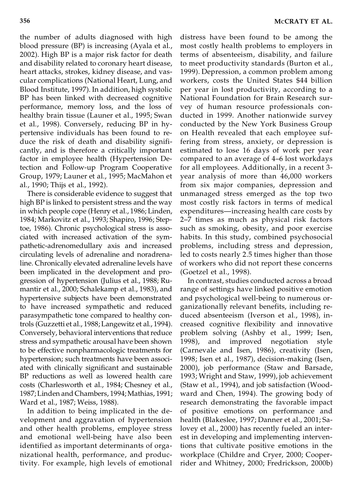the number of adults diagnosed with high blood pressure (BP) is increasing (Ayala et al., 2002). High BP is a major risk factor for death and disability related to coronary heart disease, heart attacks, strokes, kidney disease, and vascular complications (National Heart, Lung, and Blood Institute, 1997). In addition, high systolic BP has been linked with decreased cognitive performance, memory loss, and the loss of healthy brain tissue (Launer et al., 1995; Swan et al., 1998). Conversely, reducing BP in hypertensive individuals has been found to reduce the risk of death and disability significantly, and is therefore a critically important factor in employee health (Hypertension Detection and Follow-up Program Cooperative Group, 1979; Launer et al., 1995; MacMahon et al., 1990; Thijs et al., 1992).

There is considerable evidence to suggest that high BP is linked to persistent stress and the way in which people cope (Henry et al., 1986; Linden, 1984; Markovitz et al., 1993; Shapiro, 1996; Steptoe, 1986). Chronic psychological stress is associated with increased activation of the sympathetic-adrenomedullary axis and increased circulating levels of adrenaline and noradrenaline. Chronically elevated adrenaline levels have been implicated in the development and progression of hypertension (Julius et al., 1988; Rumantir et al., 2000; Schalekamp et al., 1983), and hypertensive subjects have been demonstrated to have increased sympathetic and reduced parasympathetic tone compared to healthy controls (Guzzetti et al., 1988; Langewitz et al., 1994). Conversely, behavioral interventions that reduce stress and sympathetic arousal have been shown to be effective nonpharmacologic treatments for hypertension; such treatments have been associated with clinically significant and sustainable BP reductions as well as lowered health care costs (Charlesworth et al., 1984; Chesney et al., 1987; Linden and Chambers, 1994; Mathias, 1991; Ward et al., 1987; Weiss, 1988).

In addition to being implicated in the development and aggravation of hypertension and other health problems, employee stress and emotional well-being have also been identified as important determinants of organizational health, performance, and productivity. For example, high levels of emotional

distress have been found to be among the most costly health problems to employers in terms of absenteeism, disability, and failure to meet productivity standards (Burton et al., 1999). Depression, a common problem among workers, costs the United States \$44 billion per year in lost productivity, according to a National Foundation for Brain Research survey of human resource professionals conducted in 1999. Another nationwide survey conducted by the New York Business Group on Health revealed that each employee suffering from stress, anxiety, or depression is estimated to lose 16 days of work per year compared to an average of 4–6 lost workdays for all employees. Additionally, in a recent 3 year analysis of more than 46,000 workers from six major companies, depression and unmanaged stress emerged as the top two most costly risk factors in terms of medical expenditures—increasing health care costs by 2–7 times as much as physical risk factors such as smoking, obesity, and poor exercise habits. In this study, combined psychosocial problems, including stress and depression, led to costs nearly 2.5 times higher than those of workers who did not report these concerns (Goetzel et al., 1998).

In contrast, studies conducted across a broad range of settings have linked positive emotion and psychological well-being to numerous organizationally relevant benefits, including reduced absenteeism (Iverson et al., 1998), increased cognitive flexibility and innovative problem solving (Ashby et al., 1999; Isen, 1998), and improved negotiation style (Carnevale and Isen, 1986), creativity (Isen, 1998; Isen et al., 1987), decision-making (Isen, 2000), job performance (Staw and Barsade, 1993; Wright and Staw, 1999), job achievement (Staw et al., 1994), and job satisfaction (Woodward and Chen, 1994). The growing body of research demonstrating the favorable impact of positive emotions on performance and health (Blakeslee, 1997; Danner et al., 2001; Salovey et al., 2000) has recently fueled an interest in developing and implementing interventions that cultivate positive emotions in the workplace (Childre and Cryer, 2000; Cooperrider and Whitney, 2000; Fredrickson, 2000b)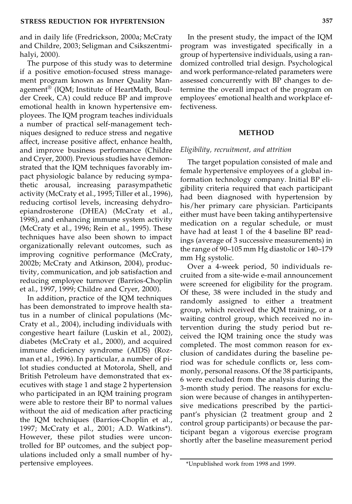and in daily life (Fredrickson, 2000a; McCraty and Childre, 2003; Seligman and Csikszentmihalyi, 2000).

The purpose of this study was to determine if a positive emotion-focused stress management program known as Inner Quality Management® (IQM; Institute of HeartMath, Boulder Creek, CA) could reduce BP and improve emotional health in known hypertensive employees. The IQM program teaches individuals a number of practical self-management techniques designed to reduce stress and negative affect, increase positive affect, enhance health, and improve business performance (Childre and Cryer, 2000). Previous studies have demonstrated that the IQM techniques favorably impact physiologic balance by reducing sympathetic arousal, increasing parasympathetic activity (McCraty et al., 1995; Tiller et al., 1996), reducing cortisol levels, increasing dehydroepiandrosterone (DHEA) (McCraty et al., 1998), and enhancing immune system activity (McCraty et al., 1996; Rein et al., 1995). These techniques have also been shown to impact organizationally relevant outcomes, such as improving cognitive performance (McCraty, 2002b; McCraty and Atkinson, 2004), productivity, communication, and job satisfaction and reducing employee turnover (Barrios-Choplin et al., 1997, 1999; Childre and Cryer, 2000).

In addition, practice of the IQM techniques has been demonstrated to improve health status in a number of clinical populations (Mc-Craty et al., 2004), including individuals with congestive heart failure (Luskin et al., 2002), diabetes (McCraty et al., 2000), and acquired immune deficiency syndrome (AIDS) (Rozman et al., 1996). In particular, a number of pilot studies conducted at Motorola, Shell, and British Petroleum have demonstrated that executives with stage 1 and stage 2 hypertension who participated in an IQM training program were able to restore their BP to normal values without the aid of medication after practicing the IQM techniques (Barrios-Choplin et al., 1997; McCraty et al., 2001; A.D. Watkins\*). However, these pilot studies were uncontrolled for BP outcomes, and the subject populations included only a small number of hypertensive employees.

In the present study, the impact of the IQM program was investigated specifically in a group of hypertensive individuals, using a randomized controlled trial design. Psychological and work performance-related parameters were assessed concurrently with BP changes to determine the overall impact of the program on employees' emotional health and workplace effectiveness.

# **METHOD**

#### *Eligibility, recruitment, and attrition*

The target population consisted of male and female hypertensive employees of a global information technology company. Initial BP eligibility criteria required that each participant had been diagnosed with hypertension by his/her primary care physician. Participants either must have been taking antihypertensive medication on a regular schedule, or must have had at least 1 of the 4 baseline BP readings (average of 3 successive measurements) in the range of 90–105 mm Hg diastolic or 140–179 mm Hg systolic.

Over a 4-week period, 50 individuals recruited from a site-wide e-mail announcement were screened for eligibility for the program. Of these, 38 were included in the study and randomly assigned to either a treatment group, which received the IQM training, or a waiting control group, which received no intervention during the study period but received the IQM training once the study was completed. The most common reason for exclusion of candidates during the baseline period was for schedule conflicts or, less commonly, personal reasons. Of the 38 participants, 6 were excluded from the analysis during the 3-month study period. The reasons for exclusion were because of changes in antihypertensive medications prescribed by the participant's physician (2 treatment group and 2 control group participants) or because the participant began a vigorous exercise program shortly after the baseline measurement period

<sup>\*</sup>Unpublished work from 1998 and 1999.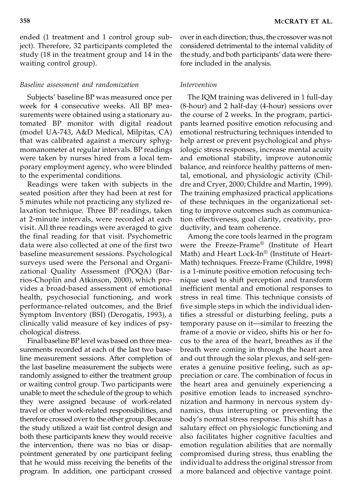**358 MCCRATY ET AL.**

ended (1 treatment and 1 control group subject). Therefore, 32 participants completed the study (18 in the treatment group and 14 in the waiting control group).

# *Baseline assessment and randomization*

Subjects' baseline BP was measured once per week for 4 consecutive weeks. All BP measurements were obtained using a stationary automated BP monitor with digital readout (model UA-743, A&D Medical, Milpitas, CA) that was calibrated against a mercury sphygmomanometer at regular intervals. BP readings were taken by nurses hired from a local temporary employment agency, who were blinded to the experimental conditions.

Readings were taken with subjects in the seated position after they had been at rest for 5 minutes while not practicing any stylized relaxation technique. Three BP readings, taken at 2-minute intervals, were recorded at each visit. All three readings were averaged to give the final reading for that visit. Psychometric data were also collected at one of the first two baseline measurement sessions. Psychological surveys used were the Personal and Organizational Quality Assessment (POQA) (Barrios-Choplin and Atkinson, 2000), which provides a broad-based assessment of emotional health, psychosocial functioning, and work performance-related outcomes, and the Brief Symptom Inventory (BSI) (Derogatis, 1993), a clinically valid measure of key indices of psychological distress.

Final baseline BP level was based on three measurements recorded at each of the last two baseline measurement sessions. After completion of the last baseline measurement the subjects were randomly assigned to either the treatment group or waiting control group. Two participants were unable to meet the schedule of the group to which they were assigned because of work-related travel or other work-related responsibilities, and therefore crossed over to the other group. Because the study utilized a wait list control design and both these participants knew they would receive the intervention, there was no bias or disappointment generated by one participant feeling that he would miss receiving the benefits of the program. In addition, one participant crossed over in each direction; thus, the crossover was not considered detrimental to the internal validity of the study, and both participants' data were therefore included in the analysis.

# *Intervention*

The IQM training was delivered in 1 full-day (8-hour) and 2 half-day (4-hour) sessions over the course of 2 weeks. In the program, participants learned positive emotion refocusing and emotional restructuring techniques intended to help arrest or prevent psychological and physiologic stress responses, increase mental acuity and emotional stability, improve autonomic balance, and reinforce healthy patterns of mental, emotional, and physiologic activity (Childre and Cryer, 2000; Childre and Martin, 1999). The training emphasized practical applications of these techniques in the organizational setting to improve outcomes such as communication effectiveness, goal clarity, creativity, productivity, and team coherence.

Among the core tools learned in the program were the Freeze-Frame® (Institute of Heart Math) and Heart Lock-In<sup>®</sup> (Institute of Heart-Math) techniques. Freeze-Frame (Childre, 1998) is a 1-minute positive emotion refocusing technique used to shift perception and transform inefficient mental and emotional responses to stress in real time. This technique consists of five simple steps in which the individual identifies a stressful or disturbing feeling, puts a temporary pause on it—similar to freezing the frame of a movie or video, shifts his or her focus to the area of the heart, breathes as if the breath were coming in through the heart area and out through the solar plexus, and self-generates a genuine positive feeling, such as appreciation or care. The combination of focus in the heart area and genuinely experiencing a positive emotion leads to increased synchronization and harmony in nervous system dynamics, thus interrupting or preventing the body's normal stress response. This shift has a salutary effect on physiologic functioning and also facilitates higher cognitive faculties and emotion regulation abilities that are normally compromised during stress, thus enabling the individual to address the original stressor from a more balanced and objective vantage point.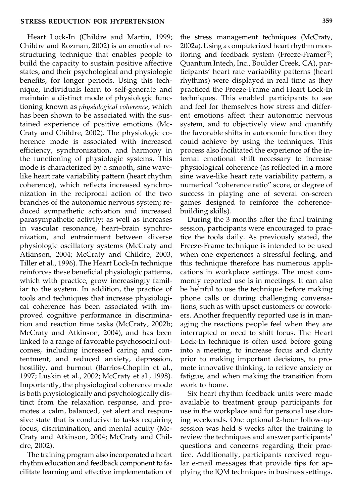Heart Lock-In (Childre and Martin, 1999; Childre and Rozman, 2002) is an emotional restructuring technique that enables people to build the capacity to sustain positive affective states, and their psychological and physiologic benefits, for longer periods. Using this technique, individuals learn to self-generate and maintain a distinct mode of physiologic functioning known as *physiological coherence*, which has been shown to be associated with the sustained experience of positive emotions (Mc-Craty and Childre, 2002). The physiologic coherence mode is associated with increased efficiency, synchronization, and harmony in the functioning of physiologic systems. This mode is characterized by a smooth, sine wavelike heart rate variability pattern (heart rhythm coherence), which reflects increased synchronization in the reciprocal action of the two branches of the autonomic nervous system; reduced sympathetic activation and increased parasympathetic activity; as well as increases in vascular resonance, heart–brain synchronization, and entrainment between diverse physiologic oscillatory systems (McCraty and Atkinson, 2004; McCraty and Childre, 2003, Tiller et al., 1996). The Heart Lock-In technique reinforces these beneficial physiologic patterns, which with practice, grow increasingly familiar to the system. In addition, the practice of tools and techniques that increase physiological coherence has been associated with improved cognitive performance in discrimination and reaction time tasks (McCraty, 2002b; McCraty and Atkinson, 2004), and has been linked to a range of favorable psychosocial outcomes, including increased caring and contentment, and reduced anxiety, depression, hostility, and burnout (Barrios-Choplin et al., 1997; Luskin et al., 2002; McCraty et al., 1998). Importantly, the physiological coherence mode is both physiologically and psychologically distinct from the relaxation response, and promotes a calm, balanced, yet alert and responsive state that is conducive to tasks requiring focus, discrimination, and mental acuity (Mc-Craty and Atkinson, 2004; McCraty and Childre, 2002).

The training program also incorporated a heart rhythm education and feedback component to facilitate learning and effective implementation of

the stress management techniques (McCraty, 2002a). Using a computerized heart rhythm monitoring and feedback system (Freeze-Framer®; Quantum Intech, Inc., Boulder Creek, CA), participants' heart rate variability patterns (heart rhythms) were displayed in real time as they practiced the Freeze-Frame and Heart Lock-In techniques. This enabled participants to see and feel for themselves how stress and different emotions affect their autonomic nervous system, and to objectively view and quantify the favorable shifts in autonomic function they could achieve by using the techniques. This process also facilitated the experience of the internal emotional shift necessary to increase physiological coherence (as reflected in a more sine wave-like heart rate variability pattern, a numerical "coherence ratio" score, or degree of success in playing one of several on-screen games designed to reinforce the coherencebuilding skills).

During the 3 months after the final training session, participants were encouraged to practice the tools daily. As previously stated, the Freeze-Frame technique is intended to be used when one experiences a stressful feeling, and this technique therefore has numerous applications in workplace settings. The most commonly reported use is in meetings. It can also be helpful to use the technique before making phone calls or during challenging conversations, such as with upset customers or coworkers. Another frequently reported use is in managing the reactions people feel when they are interrupted or need to shift focus. The Heart Lock-In technique is often used before going into a meeting, to increase focus and clarity prior to making important decisions, to promote innovative thinking, to relieve anxiety or fatigue, and when making the transition from work to home.

Six heart rhythm feedback units were made available to treatment group participants for use in the workplace and for personal use during weekends. One optional 2-hour follow-up session was held 8 weeks after the training to review the techniques and answer participants' questions and concerns regarding their practice. Additionally, participants received regular e-mail messages that provide tips for applying the IQM techniques in business settings.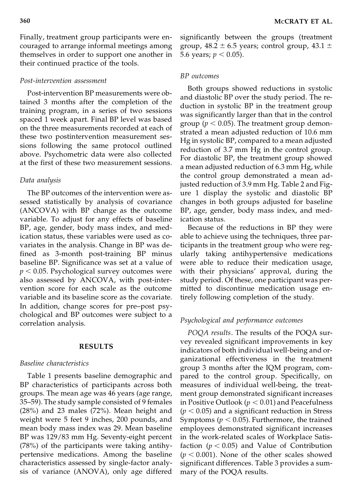Finally, treatment group participants were encouraged to arrange informal meetings among themselves in order to support one another in their continued practice of the tools.

#### *Post-intervention assessment*

Post-intervention BP measurements were obtained 3 months after the completion of the training program, in a series of two sessions spaced 1 week apart. Final BP level was based on the three measurements recorded at each of these two postintervention measurement sessions following the same protocol outlined above. Psychometric data were also collected at the first of these two measurement sessions.

# *Data analysis*

The BP outcomes of the intervention were assessed statistically by analysis of covariance (ANCOVA) with BP change as the outcome variable. To adjust for any effects of baseline BP, age, gender, body mass index, and medication status, these variables were used as covariates in the analysis. Change in BP was defined as 3-month post-training BP minus baseline BP. Significance was set at a value of  $p < 0.05$ . Psychological survey outcomes were also assessed by ANCOVA, with post-intervention score for each scale as the outcome variable and its baseline score as the covariate. In addition, change scores for pre–post psychological and BP outcomes were subject to a correlation analysis.

# **RESULTS**

# *Baseline characteristics*

Table 1 presents baseline demographic and BP characteristics of participants across both groups. The mean age was 46 years (age range, 35–59). The study sample consisted of 9 females (28%) and 23 males (72%). Mean height and weight were 5 feet 9 inches, 200 pounds, and mean body mass index was 29. Mean baseline BP was 129/83 mm Hg. Seventy-eight percent (78%) of the participants were taking antihypertensive medications. Among the baseline characteristics assessed by single-factor analysis of variance (ANOVA), only age differed significantly between the groups (treatment group,  $48.2 \pm 6.5$  years; control group,  $43.1 \pm$ 5.6 years;  $p < 0.05$ ).

# *BP outcomes*

Both groups showed reductions in systolic and diastolic BP over the study period. The reduction in systolic BP in the treatment group was significantly larger than that in the control group ( $p < 0.05$ ). The treatment group demonstrated a mean adjusted reduction of 10.6 mm Hg in systolic BP, compared to a mean adjusted reduction of 3.7 mm Hg in the control group. For diastolic BP, the treatment group showed a mean adjusted reduction of 6.3 mm Hg, while the control group demonstrated a mean adjusted reduction of 3.9 mm Hg. Table 2 and Figure 1 display the systolic and diastolic BP changes in both groups adjusted for baseline BP, age, gender, body mass index, and medication status.

Because of the reductions in BP they were able to achieve using the techniques, three participants in the treatment group who were regularly taking antihypertensive medications were able to reduce their medication usage, with their physicians' approval, during the study period. Of these, one participant was permitted to discontinue medication usage entirely following completion of the study.

# *Psychological and performance outcomes*

*POQA results*. The results of the POQA survey revealed significant improvements in key indicators of both individual well-being and organizational effectiveness in the treatment group 3 months after the IQM program, compared to the control group. Specifically, on measures of individual well-being, the treatment group demonstrated significant increases in Positive Outlook ( $p < 0.01$ ) and Peacefulness  $(p < 0.05)$  and a significant reduction in Stress Symptoms ( $p < 0.05$ ). Furthermore, the trained employees demonstrated significant increases in the work-related scales of Workplace Satisfaction ( $p < 0.05$ ) and Value of Contribution  $(p < 0.001)$ . None of the other scales showed significant differences. Table 3 provides a summary of the POQA results.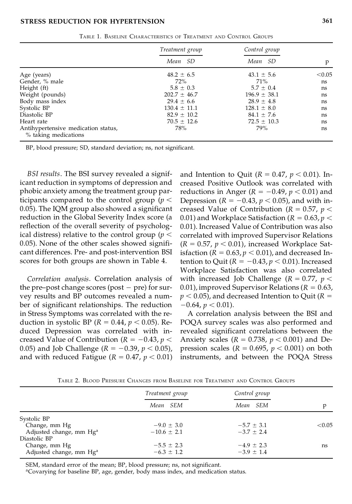|                                                             | Treatment group  | Control group    |        |  |
|-------------------------------------------------------------|------------------|------------------|--------|--|
|                                                             | Mean SD          | Mean SD          | р      |  |
| Age (years)                                                 | $48.2 \pm 6.5$   | $43.1 \pm 5.6$   | < 0.05 |  |
| Gender, % male                                              | $72\%$           | 71%              | ns     |  |
| Height (ft)                                                 | $5.8 \pm 0.3$    | $5.7 \pm 0.4$    | ns     |  |
| Weight (pounds)                                             | $202.7 \pm 46.7$ | $196.9 \pm 38.1$ | ns     |  |
| Body mass index                                             | $29.4 \pm 6.6$   | $28.9 \pm 4.8$   | ns     |  |
| Systolic BP                                                 | $130.4 \pm 11.1$ | $128.1 \pm 8.0$  | ns     |  |
| Diastolic BP                                                | $82.9 \pm 10.2$  | $84.1 \pm 7.6$   | ns     |  |
| Heart rate                                                  | $70.5 \pm 12.6$  | $72.5 \pm 10.3$  | ns     |  |
| Antihypertensive medication status,<br>% taking medications | 78%              | 79%              | ns     |  |

<sup>T</sup>ABLE 1. BASELINE <sup>C</sup>HARACTERISTICS OF <sup>T</sup>REATMENT AND <sup>C</sup>ONTROL <sup>G</sup>ROUPS

BP, blood pressure; SD, standard deviation; ns, not significant.

*BSI results*. The BSI survey revealed a significant reduction in symptoms of depression and phobic anxiety among the treatment group par-0.05). The IQM group also showed a significant reduction in the Global Severity Index score (a reflection of the overall severity of psychological distress) relative to the control group ( $p <$ 0.05). None of the other scales showed significant differences. Pre- and post-intervention BSI scores for both groups are shown in Table 4.

*Correlation analysis*. Correlation analysis of the pre–post change scores (post  $-$  pre) for survey results and BP outcomes revealed a number of significant relationships. The reduction in Stress Symptoms was correlated with the reduction in systolic BP ( $R = 0.44$ ,  $p < 0.05$ ). Reduced Depression was correlated with induction in systolic BP ( $R = 0.44$ ,  $p < 0.05$ ). Re-<br>duced Depression was correlated with in-<br>creased Value of Contribution ( $R = -0.43$ ,  $p <$  An duced Depression was correlated with in-<br>creased Value of Contribution ( $R = -0.43$ ,  $p <$ <br>0.05) and Job Challenge ( $R = -0.39$ ,  $p < 0.05$ ),<br>and with reduced Fatigue ( $R = 0.47$ ,  $n < 0.01$ ) and with reduced Fatigue ( $R = 0.47$ ,  $p < 0.01$ )

ticipants compared to the control group ( $p <$  Depression ( $R = -0.43$ ,  $p < 0.05$ ), and with inand Intention to Quit ( $R = 0.47$ ,  $p < 0.01$ ). Increased Positive Outlook was correlated with and Intention to Quit ( $R = 0.47$ ,  $p < 0.01$ ). Increased Positive Outlook was correlated with reductions in Anger ( $R = -0.49$ ,  $p < 0.01$ ) and Depression ( $R = -0.43$ ,  $n < 0.05$ ) and with in creased Positive Outlook was correlated with<br>reductions in Anger ( $R = -0.49$ ,  $p < 0.01$ ) and<br>Depression ( $R = -0.43$ ,  $p < 0.05$ ), and with in-<br>croased Value of Contribution ( $R = 0.57$ ,  $n <$ creased Value of Contribution ( $R = 0.57$ ,  $p <$ 0.01) and Workplace Satisfaction ( $R = 0.63$ ,  $p <$ 0.01). Increased Value of Contribution was also correlated with improved Supervisor Relations  $(R = 0.57, p < 0.01)$ , increased Workplace Satisfaction ( $R = 0.63$ ,  $p < 0.01$ ), and decreased Intention to Quit ( $R = -0.43$ ,  $p < 0.01$ ). Increased Workplace Satisfaction was also correlated with increased Job Challenge ( $R = 0.77$ ,  $p <$ 0.01), improved Supervisor Relations ( $R = 0.63$ ,  $p < 0.05$ ), and decreased Intention to Quit ( $R =$  $-0.64$ ,  $p < 0.01$ ).

> A correlation analysis between the BSI and POQA survey scales was also performed and revealed significant correlations between the Anxiety scales ( $R = 0.738$ ,  $p < 0.001$ ) and Depression scales ( $R = 0.695$ ,  $p < 0.001$ ) on both instruments, and between the POQA Stress

| TABLE 2. BLOOD PRESSURE CHANGES FROM BASELINE FOR TREATMENT AND CONTROL GROUPS |  |
|--------------------------------------------------------------------------------|--|

|                                     | Treatment group | Control group  |        |
|-------------------------------------|-----------------|----------------|--------|
|                                     | Mean SEM        | Mean SEM       | p      |
| Systolic BP                         |                 |                |        |
| Change, mm Hg                       | $-9.0 \pm 3.0$  | $-5.7 + 3.1$   | < 0.05 |
| Adjusted change, mm Hg <sup>a</sup> | $-10.6 \pm 2.1$ | $-3.7 \pm 2.4$ |        |
| Diastolic BP                        |                 |                |        |
| Change, mm Hg                       | $-5.5 \pm 2.3$  | $-4.9 + 2.3$   | ns     |
| Adjusted change, mm Hg <sup>a</sup> | $-6.3 \pm 1.2$  | $-3.9 \pm 1.4$ |        |

SEM, standard error of the mean; BP, blood pressure; ns, not significant.

<sup>a</sup>Covarying for baseline BP, age, gender, body mass index, and medication status.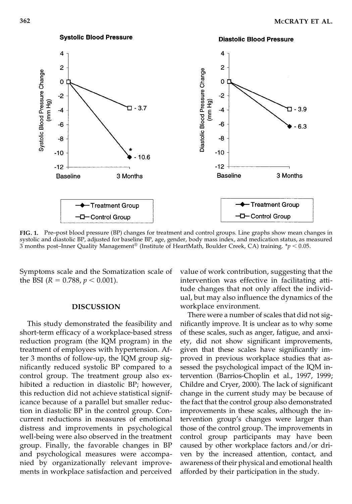

**FIG. 1.** Pre–post blood pressure (BP) changes for treatment and control groups. Line graphs show mean changes in systolic and diastolic BP, adjusted for baseline BP, age, gender, body mass index, and medication status, as measured 3 months post–Inner Quality Management<sup>®</sup> (Institute of HeartMath, Boulder Creek, CA) training.  $*_p$  < 0.05.

Symptoms scale and the Somatization scale of the BSI ( $R = 0.788$ ,  $p < 0.001$ ).

#### **DISCUSSION**

This study demonstrated the feasibility and short-term efficacy of a workplace-based stress reduction program (the IQM program) in the treatment of employees with hypertension. After 3 months of follow-up, the IQM group significantly reduced systolic BP compared to a control group. The treatment group also exhibited a reduction in diastolic BP; however, this reduction did not achieve statistical significance because of a parallel but smaller reduction in diastolic BP in the control group. Concurrent reductions in measures of emotional distress and improvements in psychological well-being were also observed in the treatment group. Finally, the favorable changes in BP and psychological measures were accompanied by organizationally relevant improvements in workplace satisfaction and perceived

value of work contribution, suggesting that the intervention was effective in facilitating attitude changes that not only affect the individual, but may also influence the dynamics of the workplace environment.

There were a number of scales that did not significantly improve. It is unclear as to why some of these scales, such as anger, fatigue, and anxiety, did not show significant improvements, given that these scales have significantly improved in previous workplace studies that assessed the psychological impact of the IQM intervention (Barrios-Choplin et al., 1997, 1999; Childre and Cryer, 2000). The lack of significant change in the current study may be because of the fact that the control group also demonstrated improvements in these scales, although the intervention group's changes were larger than those of the control group. The improvements in control group participants may have been caused by other workplace factors and/or driven by the increased attention, contact, and awareness of their physical and emotional health afforded by their participation in the study.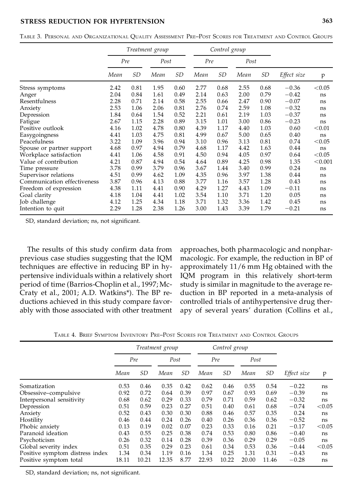# **STRESS REDUCTION FOR HYPERTENSION 363**

|                             | Treatment group |      |      |      |      | Control group |      |      |             |         |
|-----------------------------|-----------------|------|------|------|------|---------------|------|------|-------------|---------|
|                             | Pre             |      | Post |      | Pre  |               | Post |      |             |         |
|                             | Mean            | SD   | Mean | SD   | Mean | SD            | Mean | SD   | Effect size | $\rm p$ |
| Stress symptoms             | 2.42            | 0.81 | 1.95 | 0.60 | 2.77 | 0.68          | 2.55 | 0.68 | $-0.36$     | < 0.05  |
| Anger                       | 2.04            | 0.84 | 1.61 | 0.49 | 2.14 | 0.63          | 2.00 | 0.79 | $-0.42$     | ns      |
| Resentfulness               | 2.28            | 0.71 | 2.14 | 0.58 | 2.55 | 0.66          | 2.47 | 0.90 | $-0.07$     | ns      |
| Anxiety                     | 2.53            | 1.06 | 2.06 | 0.81 | 2.76 | 0.74          | 2.59 | 1.08 | $-0.32$     | ns      |
| Depression                  | 1.84            | 0.64 | 1.54 | 0.52 | 2.21 | 0.61          | 2.19 | 1.03 | $-0.37$     | ns      |
| Fatigue                     | 2.67            | 1.15 | 2.28 | 0.89 | 3.15 | 1.01          | 3.00 | 0.86 | $-0.23$     | ns      |
| Positive outlook            | 4.16            | 1.02 | 4.78 | 0.80 | 4.39 | 1.17          | 4.40 | 1.03 | 0.60        | < 0.01  |
| Easygoingness               | 4.41            | 1.03 | 4.75 | 0.81 | 4.99 | 0.67          | 5.00 | 0.65 | 0.40        | ns      |
| Peacefulness                | 3.22            | 1.09 | 3.96 | 0.94 | 3.10 | 0.96          | 3.13 | 0.81 | 0.74        | < 0.05  |
| Spouse or partner support   | 4.68            | 0.97 | 4.94 | 0.79 | 4.68 | 1.17          | 4.42 | 1.63 | 0.44        | ns      |
| Workplace satisfaction      | 4.41            | 1.06 | 4.58 | 0.91 | 4.50 | 0.94          | 4.05 | 0.97 | 0.64        | < 0.05  |
| Value of contribution       | 4.21            | 0.87 | 4.94 | 0.54 | 4.64 | 0.89          | 4.25 | 0.98 | 1.35        | < 0.001 |
| Time pressure               | 3.78            | 0.99 | 3.79 | 0.96 | 3.67 | 1.44          | 3.40 | 0.99 | 0.24        | ns      |
| Supervisor relations        | 4.51            | 0.99 | 4.62 | 1.09 | 4.35 | 0.96          | 3.97 | 1.38 | 0.44        | ns      |
| Communication effectiveness | 3.87            | 0.96 | 4.13 | 0.88 | 3.77 | 1.16          | 3.57 | 1.28 | 0.43        | ns      |
| Freedom of expression       | 4.38            | 1.11 | 4.41 | 0.90 | 4.29 | 1.27          | 4.43 | 1.09 | $-0.11$     | ns      |
| Goal clarity                | 4.18            | 1.04 | 4.41 | 1.02 | 3.54 | 1.10          | 3.71 | 1.20 | 0.05        | ns      |
| Job challenge               | 4.12            | 1.25 | 4.34 | 1.18 | 3.71 | 1.32          | 3.36 | 1.42 | 0.45        | ns      |
| Intention to quit           | 2.29            | 1.28 | 2.38 | 1.26 | 3.00 | 1.43          | 3.39 | 1.79 | $-0.21$     | ns      |

<sup>T</sup>ABLE 3. PERSONAL AND <sup>O</sup>RGANIZATIONAL <sup>Q</sup>UALITY <sup>A</sup>SSESSMENT <sup>P</sup>RE–POST <sup>S</sup>CORES FOR <sup>T</sup>REATMENT AND <sup>C</sup>ONTROL <sup>G</sup>ROUPS

SD, standard deviation; ns, not significant.

The results of this study confirm data from previous case studies suggesting that the IQM techniques are effective in reducing BP in hypertensive individuals within a relatively short period of time (Barrios-Choplin et al., 1997; Mc-Craty et al., 2001; A.D. Watkins\*). The BP reductions achieved in this study compare favorably with those associated with other treatment approaches, both pharmacologic and nonpharmacologic. For example, the reduction in BP of approximately 11/6 mm Hg obtained with the IQM program in this relatively short-term study is similar in magnitude to the average reduction in BP reported in a meta-analysis of controlled trials of antihypertensive drug therapy of several years' duration (Collins et al.,

| TABLE 4. BRIEF SYMPTOM INVENTORY PRE-POST SCORES FOR TREATMENT AND CONTROL GROUPS |  |
|-----------------------------------------------------------------------------------|--|

|                                 | Treatment group |           |       |           | Control group |       |       |           |             |        |
|---------------------------------|-----------------|-----------|-------|-----------|---------------|-------|-------|-----------|-------------|--------|
|                                 | Pre             |           | Post  |           | Pre           |       | Post  |           |             |        |
|                                 | Mean            | <i>SD</i> | Mean  | <b>SD</b> | Mean          | SD    | Mean  | <b>SD</b> | Effect size | p      |
| Somatization                    | 0.53            | 0.46      | 0.35  | 0.42      | 0.62          | 0.46  | 0.55  | 0.54      | $-0.22$     | ns     |
| Obsessive-compulsive            | 0.92            | 0.72      | 0.64  | 0.39      | 0.97          | 0.67  | 0.93  | 0.69      | $-0.39$     | ns     |
| Interpersonal sensitivity       | 0.68            | 0.62      | 0.29  | 0.33      | 0.79          | 0.71  | 0.59  | 0.62      | $-0.32$     | ns     |
| Depression                      | 0.51            | 0.59      | 0.23  | 0.27      | 0.51          | 0.40  | 0.61  | 0.68      | $-0.74$     | < 0.05 |
| Anxiety                         | 0.52            | 0.43      | 0.30  | 0.30      | 0.88          | 0.46  | 0.57  | 0.35      | 0.24        | ns     |
| Hostility                       | 0.46            | 0.44      | 0.24  | 0.26      | 0.40          | 0.26  | 0.36  | 0.36      | $-0.52$     | ns     |
| Phobic anxiety                  | 0.13            | 0.19      | 0.02  | 0.07      | 0.23          | 0.33  | 0.16  | 0.21      | $-0.17$     | < 0.05 |
| Paranoid ideation               | 0.43            | 0.55      | 0.25  | 0.38      | 0.74          | 0.53  | 0.80  | 0.86      | $-0.40$     | ns     |
| Psychoticism                    | 0.26            | 0.32      | 0.14  | 0.28      | 0.39          | 0.36  | 0.29  | 0.29      | $-0.05$     | ns     |
| Global severity index           | 0.51            | 0.35      | 0.29  | 0.23      | 0.61          | 0.34  | 0.53  | 0.36      | $-0.44$     | < 0.05 |
| Positive symptom distress index | 1.34            | 0.34      | 1.19  | 0.16      | 1.34          | 0.25  | 1.31  | 0.31      | $-0.43$     | ns     |
| Positive symptom total          | 18.11           | 10.21     | 12.35 | 8.77      | 22.93         | 10.22 | 20.00 | 11.46     | $-0.28$     | ns     |

SD, standard deviation; ns, not significant.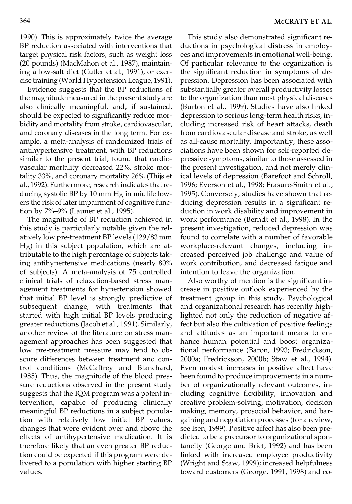1990). This is approximately twice the average BP reduction associated with interventions that target physical risk factors, such as weight loss (20 pounds) (MacMahon et al., 1987), maintaining a low-salt diet (Cutler et al., 1991), or exercise training (World Hypertension League, 1991).

Evidence suggests that the BP reductions of the magnitude measured in the present study are also clinically meaningful, and, if sustained, should be expected to significantly reduce morbidity and mortality from stroke, cardiovascular, and coronary diseases in the long term. For example, a meta-analysis of randomized trials of antihypertensive treatment, with BP reductions similar to the present trial, found that cardiovascular mortality decreased 22%, stroke mortality 33%, and coronary mortality 26% (Thijs et al., 1992). Furthermore, research indicates that reducing systolic BP by 10 mm Hg in midlife lowers the risk of later impairment of cognitive function by 7%–9% (Launer et al., 1995).

The magnitude of BP reduction achieved in this study is particularly notable given the relatively low pre-treatment BP levels (129/83 mm Hg) in this subject population, which are attributable to the high percentage of subjects taking antihypertensive medications (nearly 80% of subjects). A meta-analysis of 75 controlled clinical trials of relaxation-based stress management treatments for hypertension showed that initial BP level is strongly predictive of subsequent change, with treatments that started with high initial BP levels producing greater reductions (Jacob et al., 1991). Similarly, another review of the literature on stress management approaches has been suggested that low pre-treatment pressure may tend to obscure differences between treatment and control conditions (McCaffrey and Blanchard, 1985). Thus, the magnitude of the blood pressure reductions observed in the present study suggests that the IQM program was a potent intervention, capable of producing clinically meaningful BP reductions in a subject population with relatively low initial BP values, changes that were evident over and above the effects of antihypertensive medication. It is therefore likely that an even greater BP reduction could be expected if this program were delivered to a population with higher starting BP values.

This study also demonstrated significant reductions in psychological distress in employees and improvements in emotional well-being. Of particular relevance to the organization is the significant reduction in symptoms of depression. Depression has been associated with substantially greater overall productivity losses to the organization than most physical diseases (Burton et al., 1999). Studies have also linked depression to serious long-term health risks, including increased risk of heart attacks, death from cardiovascular disease and stroke, as well as all-cause mortality. Importantly, these associations have been shown for self-reported depressive symptoms, similar to those assessed in the present investigation, and not merely clinical levels of depression (Barefoot and Schroll, 1996; Everson et al., 1998; Frasure-Smith et al., 1995). Conversely, studies have shown that reducing depression results in a significant reduction in work disability and improvement in work performance (Berndt et al., 1998). In the present investigation, reduced depression was found to correlate with a number of favorable workplace-relevant changes, including increased perceived job challenge and value of work contribution, and decreased fatigue and intention to leave the organization.

Also worthy of mention is the significant increase in positive outlook experienced by the treatment group in this study. Psychological and organizational research has recently highlighted not only the reduction of negative affect but also the cultivation of positive feelings and attitudes as an important means to enhance human potential and boost organizational performance (Baron, 1993; Fredrickson, 2000a; Fredrickson, 2000b; Staw et al., 1994). Even modest increases in positive affect have been found to produce improvements in a number of organizationally relevant outcomes, including cognitive flexibility, innovation and creative problem-solving, motivation, decision making, memory, prosocial behavior, and bargaining and negotiation processes (for a review, see Isen, 1999). Positive affect has also been predicted to be a precursor to organizational spontaneity (George and Brief, 1992) and has been linked with increased employee productivity (Wright and Staw, 1999); increased helpfulness toward customers (George, 1991, 1998) and co-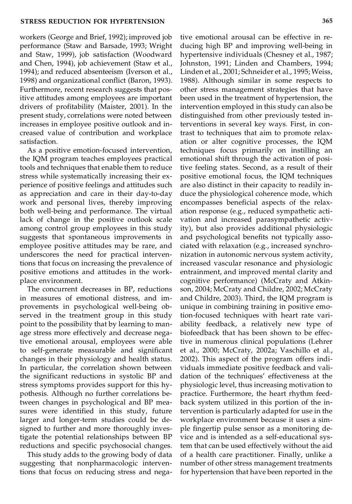# **STRESS REDUCTION FOR HYPERTENSION 365**

workers (George and Brief, 1992); improved job performance (Staw and Barsade, 1993; Wright and Staw, 1999), job satisfaction (Woodward and Chen, 1994), job achievement (Staw et al., 1994); and reduced absenteeism (Iverson et al., 1998) and organizational conflict (Baron, 1993). Furthermore, recent research suggests that positive attitudes among employees are important drivers of profitability (Maister, 2001). In the present study, correlations were noted between increases in employee positive outlook and increased value of contribution and workplace satisfaction.

As a positive emotion-focused intervention, the IQM program teaches employees practical tools and techniques that enable them to reduce stress while systematically increasing their experience of positive feelings and attitudes such as appreciation and care in their day-to-day work and personal lives, thereby improving both well-being and performance. The virtual lack of change in the positive outlook scale among control group employees in this study suggests that spontaneous improvements in employee positive attitudes may be rare, and underscores the need for practical interventions that focus on increasing the prevalence of positive emotions and attitudes in the workplace environment.

The concurrent decreases in BP, reductions in measures of emotional distress, and improvements in psychological well-being observed in the treatment group in this study point to the possibility that by learning to manage stress more effectively and decrease negative emotional arousal, employees were able to self-generate measurable and significant changes in their physiology and health status. In particular, the correlation shown between the significant reductions in systolic BP and stress symptoms provides support for this hypothesis. Although no further correlations between changes in psychological and BP measures were identified in this study, future larger and longer-term studies could be designed to further and more thoroughly investigate the potential relationships between BP reductions and specific psychosocial changes.

This study adds to the growing body of data suggesting that nonpharmacologic interventions that focus on reducing stress and nega-

tive emotional arousal can be effective in reducing high BP and improving well-being in hypertensive individuals (Chesney et al., 1987; Johnston, 1991; Linden and Chambers, 1994; Linden et al., 2001; Schneider et al., 1995; Weiss, 1988). Although similar in some respects to other stress management strategies that have been used in the treatment of hypertension, the intervention employed in this study can also be distinguished from other previously tested interventions in several key ways. First, in contrast to techniques that aim to promote relaxation or alter cognitive processes, the IQM techniques focus primarily on instilling an emotional shift through the activation of positive feeling states. Second, as a result of their positive emotional focus, the IQM techniques are also distinct in their capacity to readily induce the physiological coherence mode, which encompasses beneficial aspects of the relaxation response (e.g., reduced sympathetic activation and increased parasympathetic activity), but also provides additional physiologic and psychological benefits not typically associated with relaxation (e.g., increased synchronization in autonomic nervous system activity, increased vascular resonance and physiologic entrainment, and improved mental clarity and cognitive performance) (McCraty and Atkinson, 2004; McCraty and Childre, 2002; McCraty and Childre, 2003). Third, the IQM program is unique in combining training in positive emotion-focused techniques with heart rate variability feedback, a relatively new type of biofeedback that has been shown to be effective in numerous clinical populations (Lehrer et al., 2000; McCraty, 2002a; Vaschillo et al., 2002). This aspect of the program offers individuals immediate positive feedback and validation of the techniques' effectiveness at the physiologic level, thus increasing motivation to practice. Furthermore, the heart rhythm feedback system utilized in this portion of the intervention is particularly adapted for use in the workplace environment because it uses a simple fingertip pulse sensor as a monitoring device and is intended as a self-educational system that can be used effectively without the aid of a health care practitioner. Finally, unlike a number of other stress management treatments for hypertension that have been reported in the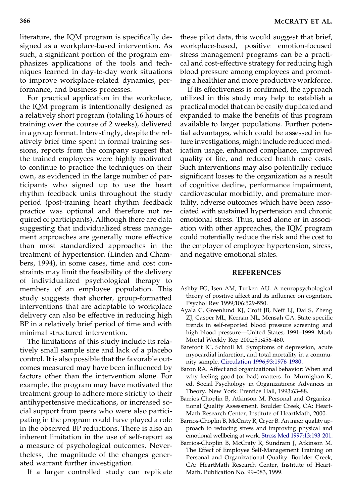literature, the IQM program is specifically designed as a workplace-based intervention. As such, a significant portion of the program emphasizes applications of the tools and techniques learned in day-to-day work situations to improve workplace-related dynamics, performance, and business processes.

For practical application in the workplace, the IQM program is intentionally designed as a relatively short program (totaling 16 hours of training over the course of 2 weeks), delivered in a group format. Interestingly, despite the relatively brief time spent in formal training sessions, reports from the company suggest that the trained employees were highly motivated to continue to practice the techniques on their own, as evidenced in the large number of participants who signed up to use the heart rhythm feedback units throughout the study period (post-training heart rhythm feedback practice was optional and therefore not required of participants). Although there are data suggesting that individualized stress management approaches are generally more effective than most standardized approaches in the treatment of hypertension (Linden and Chambers, 1994), in some cases, time and cost constraints may limit the feasibility of the delivery of individualized psychological therapy to members of an employee population. This study suggests that shorter, group-formatted interventions that are adaptable to workplace delivery can also be effective in reducing high BP in a relatively brief period of time and with minimal structured intervention.

The limitations of this study include its relatively small sample size and lack of a placebo control. It is also possible that the favorable outcomes measured may have been influenced by factors other than the intervention alone. For example, the program may have motivated the treatment group to adhere more strictly to their antihypertensive medications, or increased social support from peers who were also participating in the program could have played a role in the observed BP reductions. There is also an inherent limitation in the use of self-report as a measure of psychological outcomes. Nevertheless, the magnitude of the changes generated warrant further investigation.

If a larger controlled study can replicate

these pilot data, this would suggest that brief, workplace-based, positive emotion-focused stress management programs can be a practical and cost-effective strategy for reducing high blood pressure among employees and promoting a healthier and more productive workforce.

If its effectiveness is confirmed, the approach utilized in this study may help to establish a practical model that can be easily duplicated and expanded to make the benefits of this program available to larger populations. Further potential advantages, which could be assessed in future investigations, might include reduced medication usage, enhanced compliance, improved quality of life, and reduced health care costs. Such interventions may also potentially reduce significant losses to the organization as a result of cognitive decline, performance impairment, cardiovascular morbidity, and premature mortality, adverse outcomes which have been associated with sustained hypertension and chronic emotional stress. Thus, used alone or in association with other approaches, the IQM program could potentially reduce the risk and the cost to the employer of employee hypertension, stress, and negative emotional states.

## **REFERENCES**

- Ashby FG, Isen AM, Turken AU. A neuropsychological theory of positive affect and its influence on cognition. Psychol Rev 1999;106:529–550.
- Ayala C, Greenlund KJ, Croft JB, Neff LJ, Dai S, Zheng ZJ, Casper ML, Keenan NL, Mensah GA. State-specific trends in self-reported blood pressure screening and high blood pressure—United States, 1991–1999. Morb Mortal Weekly Rep 2002;51:456–460.
- Barefoot JC, Schroll M. Symptoms of depression, acute myocardial infarction, and total mortality in a community sample. [Circulation 1996;93:1976–1980.](http://giorgio.ingentaselect.com/nw=1/rpsv/cgi-bin/linker?ext=a&reqidx=/0009-7322^281996^2993L.1976[aid=2830516])
- Baron RA. Affect and organizational behavior: When and why feeling good (or bad) matters. In: Murnighan K, ed. Social Psychology in Organizations: Advances in Theory. New York: Prentice Hall, 1993:63–88.
- Barrios-Choplin B, Atkinson M. Personal and Organizational Quality Assessment. Boulder Creek, CA: Heart-Math Research Center, Institute of HeartMath, 2000.
- Barrios-Choplin B, McCraty R, Cryer B. An inner quality approach to reducing stress and improving physical and emotional wellbeing at work. [Stress Med 1997;13:193–201.](http://giorgio.ingentaselect.com/nw=1/rpsv/cgi-bin/linker?ext=a&reqidx=/0748-8386^281997^2913L.193[aid=4945527])
- Barrios-Choplin B, McCraty R, Sundram J, Atkinson M. The Effect of Employee Self-Management Training on Personal and Organizational Quality. Boulder Creek, CA: HeartMath Research Center, Institute of Heart-Math, Publication No. 99–083, 1999.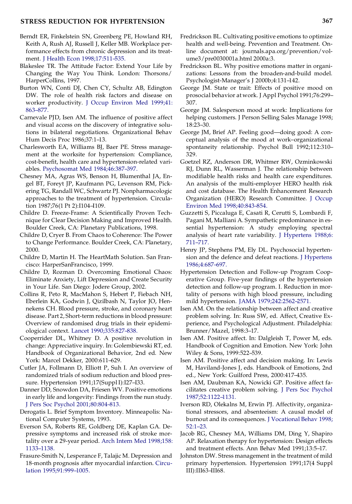# **STRESS REDUCTION FOR HYPERTENSION 367**

- Berndt ER, Finkelstein SN, Greenberg PE, Howland RH, Keith A, Rush AJ, Russell J, Keller MB. Workplace performance effects from chronic depression and its treatment. [J Health Econ 1998;17:511–535.](http://giorgio.ingentaselect.com/nw=1/rpsv/cgi-bin/linker?ext=a&reqidx=/0167-6296^281998^2917L.511[aid=4945528])
- Blakeslee TR. The Attitude Factor: Extend Your Life by Changing the Way You Think. London: Thorsons/ HarperCollins, 1997.
- Burton WN, Conti DJ, Chen CY, Schultz AB, Edington DW. The role of health risk factors and disease on worker productivity. [J Occup Environ Med 1999;41:](http://giorgio.ingentaselect.com/nw=1/rpsv/cgi-bin/linker?ext=a&reqidx=/1076-2752^281999^2941L.863[aid=4945529]) [863–877.](http://giorgio.ingentaselect.com/nw=1/rpsv/cgi-bin/linker?ext=a&reqidx=/1076-2752^281999^2941L.863[aid=4945529])
- Carnevale PJD, Isen AM. The influence of positive affect and visual access on the discovery of integrative solutions in bilateral negotiations. Organizational Behav Hum Decis Proc 1986;37:1–13.
- Charlesworth EA, Williams BJ, Baer PE. Stress management at the worksite for hypertension: Compliance, cost-benefit, health care and hypertension-related variables. [Psychosomat Med 1984;46:387–397.](http://giorgio.ingentaselect.com/nw=1/rpsv/cgi-bin/linker?ext=a&reqidx=/0033-3174^281984^2946L.387[aid=4945531])
- Chesney MA, Agras WS, Benson H, Blumenthal JA, Engel BT, Foreyt JP, Kaufmann PG, Levenson RM, Pickering TG, Randall WC, Schwartz PJ. Nonpharmacologic approaches to the treatment of hypertension. Circulation 1987;76(1 Pt 2):I104–I109.
- Childre D. Freeze-Frame: A Scientifically Proven Technique for Clear Decision Making and Improved Health. Boulder Creek, CA: Planetary Publications, 1998.
- Childre D, Cryer B. From Chaos to Coherence: The Power to Change Performance. Boulder Creek, CA: Planetary, 2000.
- Childre D, Martin H. The HeartMath Solution. San Francisco: HarperSanFrancisco, 1999.
- Childre D, Rozman D. Overcoming Emotional Chaos: Eliminate Anxiety, Lift Depression and Create Security in Your Life. San Diego: Jodere Group, 2002.
- Collins R, Peto R, MacMahon S, Hebert P, Fiebach NH, Eberlein KA, Godwin J, Qizilbash N, Taylor JO, Hennekens CH. Blood pressure, stroke, and coronary heart disease. Part 2, Short-term reductions in blood pressure: Overview of randomised drug trials in their epidemiological context. [Lancet 1990;335:827–838.](http://giorgio.ingentaselect.com/nw=1/rpsv/cgi-bin/linker?ext=a&reqidx=/0140-6736^281990^29335L.827[aid=185386])
- Cooperrider DL, Whitney D. A positive revolution in change: Appreciative inquiry. In: Golembiewski RT, ed. Handbook of Organizational Behavior, 2nd ed. New York: Marcel Dekker, 2000:611–629.
- Cutler JA, Follmann D, Elliott P, Suh I. An overview of randomized trials of sodium reduction and blood pressure. Hypertension 1991;17(Suppl I):I27–I33.
- Danner DD, Snowdon DA, Friesen WV. Positive emotions in early life and longevity: Findings from the nun study. [J Pers Soc Psychol 2001;80:804–813.](http://giorgio.ingentaselect.com/nw=1/rpsv/cgi-bin/linker?ext=a&reqidx=/0022-3514^282001^2980L.804[aid=4945532])
- Derogatis L. Brief Symptom Inventory. Minneapolis: National Computer Systems, 1993.
- Everson SA, Roberts RE, Goldberg DE, Kaplan GA. Depressive symptoms and increased risk of stroke mortality over a 29-year period. [Arch Intern Med 1998;158:](http://giorgio.ingentaselect.com/nw=1/rpsv/cgi-bin/linker?ext=a&reqidx=/0003-9926^281998^29158L.1133[aid=2288444]) [1133–1138.](http://giorgio.ingentaselect.com/nw=1/rpsv/cgi-bin/linker?ext=a&reqidx=/0003-9926^281998^29158L.1133[aid=2288444])
- Frasure-Smith N, Lesperance F, Talajic M. Depression and 18-month prognosis after myocardial infarction. [Circu](http://giorgio.ingentaselect.com/nw=1/rpsv/cgi-bin/linker?ext=a&reqidx=/0009-7322^281995^2991L.999[aid=187373])[lation 1995;91:999–1005.](http://giorgio.ingentaselect.com/nw=1/rpsv/cgi-bin/linker?ext=a&reqidx=/0009-7322^281995^2991L.999[aid=187373])
- Fredrickson BL. Cultivating positive emotions to optimize health and well-being. Prevention and Treatment. Online document at: journals.apa.org/prevention/volume3/pre0030001a.html 2000a:3.
- Fredrickson BL. Why positive emotions matter in organizations: Lessons from the broaden-and-build model. Psychologist-Manager's J 2000b;4:131–142.
- George JM. State or trait: Effects of positive mood on prosocial behavior at work. J Appl Psychol 1991;76:299– 307.
- George JM. Salesperson mood at work: Implications for helping customers. J Person Selling Sales Manage 1998; 18:23–30.
- George JM, Brief AP. Feeling good—doing good: A conceptual analysis of the mood at work–organizational spontaneity relationship. Psychol Bull 1992;112:310– 329.
- Goetzel RZ, Anderson DR, Whitmer RW, Ozminkowski RJ, Dunn RL, Wasserman J. The relationship between modifiable health risks and health care expenditures. An analysis of the multi-employer HERO health risk and cost database. The Health Enhancement Research Organization (HERO) Research Committee. [J Occup](http://giorgio.ingentaselect.com/nw=1/rpsv/cgi-bin/linker?ext=a&reqidx=/1076-2752^281998^2940L.843[aid=4945535]) [Environ Med 1998;40:843–854.](http://giorgio.ingentaselect.com/nw=1/rpsv/cgi-bin/linker?ext=a&reqidx=/1076-2752^281998^2940L.843[aid=4945535])
- Guzzetti S, Piccaluga E, Casati R, Cerutti S, Lombardi F, Pagani M, Malliani A. Sympathetic predominance in essential hypertension: A study employing spectral analysis of heart rate variability. [J Hypertens 1988;6:](http://giorgio.ingentaselect.com/nw=1/rpsv/cgi-bin/linker?ext=a&reqidx=/0263-6352^281988^296L.711[aid=2640981]) [711–717.](http://giorgio.ingentaselect.com/nw=1/rpsv/cgi-bin/linker?ext=a&reqidx=/0263-6352^281988^296L.711[aid=2640981])
- Henry JP, Stephens PM, Ely DL. Psychosocial hypertension and the defence and defeat reactions. [J Hypertens](http://giorgio.ingentaselect.com/nw=1/rpsv/cgi-bin/linker?ext=a&reqidx=/0263-6352^281986^294L.687[aid=4945536]) [1986;4:687–697.](http://giorgio.ingentaselect.com/nw=1/rpsv/cgi-bin/linker?ext=a&reqidx=/0263-6352^281986^294L.687[aid=4945536])
- Hypertension Detection and Follow-up Program Cooperative Group. Five-year findings of the hypertension detection and follow-up program. I. Reduction in mortality of persons with high blood pressure, including mild hypertension. [JAMA 1979;242:2562–2571.](http://giorgio.ingentaselect.com/nw=1/rpsv/cgi-bin/linker?ext=a&reqidx=/0098-7484^281979^29242L.2562[aid=1185612])
- Isen AM. On the relationship between affect and creative problem solving. In: Russ SW, ed. Affect, Creative Experience, and Psychological Adjustment. Philadelphia: Brunner/Mazel, 1998:3–17.
- Isen AM. Positive affect. In: Dalgleish T, Power M, eds. Handbook of Cognition and Emotion. New York: John Wiley & Sons, 1999:522–539.
- Isen AM. Positive affect and decision making. In: Lewis M, Haviland-Jones J, eds. Handbook of Emotions, 2nd ed., New York: Guilford Press, 2000:417–435.
- Isen AM, Daubman KA, Nowicki GP. Positive affect facilitates creative problem solving. [J Pers Soc Psychol](http://giorgio.ingentaselect.com/nw=1/rpsv/cgi-bin/linker?ext=a&reqidx=/0022-3514^281987^2952L.1122[aid=1388628]) [1987;52:1122–1131.](http://giorgio.ingentaselect.com/nw=1/rpsv/cgi-bin/linker?ext=a&reqidx=/0022-3514^281987^2952L.1122[aid=1388628])
- Iverson RD, Olekalns M, Erwin PJ. Affectivity, organizational stressors, and absenteeism: A causal model of burnout and its consequences. [J Vocational Behav 1998;](http://giorgio.ingentaselect.com/nw=1/rpsv/cgi-bin/linker?ext=a&reqidx=/0001-8791^281998^2952L.1[aid=4722039]) [52:1–23.](http://giorgio.ingentaselect.com/nw=1/rpsv/cgi-bin/linker?ext=a&reqidx=/0001-8791^281998^2952L.1[aid=4722039])
- Jacob RG, Chesney MA, Williams DM, Ding Y, Shapiro AP. Relaxation therapy for hypertension: Design effects and treatment effects. Ann Behav Med 1991;13:5–17.
- Johnston DW. Stress management in the treatment of mild primary hypertension. Hypertension 1991;17(4 Suppl III):III63–III68.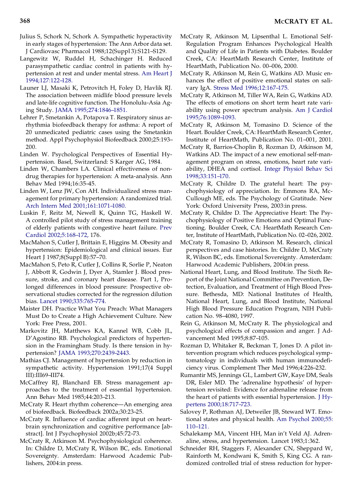- Julius S, Schork N, Schork A. Sympathetic hyperactivity in early stages of hypertension: The Ann Arbor data set. J Cardiovasc Pharmacol 1988;12(Suppl 3):S121–S129.
- Langewitz W, Ruddel H, Schachinger H. Reduced parasympathetic cardiac control in patients with hypertension at rest and under mental stress. [Am Heart J](http://giorgio.ingentaselect.com/nw=1/rpsv/cgi-bin/linker?ext=a&reqidx=/0002-8703^281994^29127L.122[aid=4945538]) [1994;127:122–128.](http://giorgio.ingentaselect.com/nw=1/rpsv/cgi-bin/linker?ext=a&reqidx=/0002-8703^281994^29127L.122[aid=4945538])
- Launer LJ, Masaki K, Petrovitch H, Foley D, Havlik RJ. The association between midlife blood pressure levels and late-life cognitive function. The Honolulu-Asia Aging Study. [JAMA 1995;274:1846–1851.](http://giorgio.ingentaselect.com/nw=1/rpsv/cgi-bin/linker?ext=a&reqidx=/0098-7484^281995^29274L.1846[aid=2824836])
- Lehrer P, Smetankin A, Potapova T. Respiratory sinus arrhythmia biofeedback therapy for asthma: A report of 20 unmedicated pediatric cases using the Smetankin method. Appl Psychophysiol Biofeedback 2000;25:193– 200.
- Linden W. Psychological Perspectives of Essential Hypertension. Basel, Switzerland: S Karger AG, 1984.
- Linden W, Chambers LA. Clinical effectiveness of nondrug therapies for hypertension: A meta-analysis. Ann Behav Med 1994;16:35–45.
- Linden W, Lenz JW, Con AH. Individualized stress management for primary hypertension: A randomized trial. [Arch Intern Med 2001;161:1071–1080.](http://giorgio.ingentaselect.com/nw=1/rpsv/cgi-bin/linker?ext=a&reqidx=/0003-9926^282001^29161L.1071[aid=4945540])
- Luskin F, Reitz M, Newell K, Quinn TG, Haskell W. A controlled pilot study of stress management training of elderly patients with congestive heart failure. [Prev](http://giorgio.ingentaselect.com/nw=1/rpsv/cgi-bin/linker?ext=a&reqidx=/1520-037X^282002^295L.168[aid=4945541]) [Cardiol 2002;5:168–172,](http://giorgio.ingentaselect.com/nw=1/rpsv/cgi-bin/linker?ext=a&reqidx=/1520-037X^282002^295L.168[aid=4945541]) 176.
- MacMahon S, Cutler J, Brittain E, Higgins M. Obesity and hypertension: Epidemiological and clinical issues. Eur Heart J 1987;8(Suppl B):57–70.
- MacMahon S, Peto R, Cutler J, Collins R, Sorlie P, Neaton J, Abbott R, Godwin J, Dyer A, Stamler J. Blood pressure, stroke, and coronary heart disease. Part 1, Prolonged differences in blood pressure: Prospective observational studies corrected for the regression dilution bias. [Lancet 1990;335:765–774.](http://giorgio.ingentaselect.com/nw=1/rpsv/cgi-bin/linker?ext=a&reqidx=/0140-6736^281990^29335L.765[aid=190926])
- Maister DH. Practice What You Preach: What Managers Must Do to Create a High Achievement Culture. New York: Free Press, 2001.
- Markovitz JH, Matthews KA, Kannel WB, Cobb JL, D'Agostino RB. Psychological predictors of hypertension in the Framingham Study. Is there tension in hypertension? [JAMA 1993;270:2439–2443.](http://giorgio.ingentaselect.com/nw=1/rpsv/cgi-bin/linker?ext=a&reqidx=/0098-7484^281993^29270L.2439[aid=3148621])
- Mathias CJ. Management of hypertension by reduction in sympathetic activity. Hypertension 1991;17(4 Suppl III):III69–III74.
- McCaffrey RJ, Blanchard EB. Stress management approaches to the treatment of essential hypertension. Ann Behav Med 1985;44:203–213.
- McCraty R. Heart rhythm coherence—An emerging area of biofeedback. Biofeedback 2002a;30:23–25.
- McCraty R. Influence of cardiac afferent input on heartbrain synchronization and cognitive performance [abstract]. Int J Psychophysiol 2002b;45:72–73.
- McCraty R, Atkinson M. Psychophysiological coherence. In: Childre D, McCraty R, Wilson BC, eds. Emotional Sovereignty. Amsterdam: Harwood Academic Publishers, 2004:in press.
- McCraty R, Atkinson M, Lipsenthal L. Emotional Self-Regulation Program Enhances Psychological Health and Quality of Life in Patients with Diabetes. Boulder Creek, CA: HeartMath Research Center, Institute of HeartMath, Publication No. 00–006, 2000.
- McCraty R, Atkinson M, Rein G, Watkins AD. Music enhances the effect of positive emotional states on salivary IgA. [Stress Med 1996;12:167–175.](http://giorgio.ingentaselect.com/nw=1/rpsv/cgi-bin/linker?ext=a&reqidx=/0748-8386^281996^2912L.167[aid=2077467])
- McCraty R, Atkinson M, Tiller WA, Rein G, Watkins AD. The effects of emotions on short term heart rate variability using power spectrum analysis. [Am J Cardiol](http://giorgio.ingentaselect.com/nw=1/rpsv/cgi-bin/linker?ext=a&reqidx=/0002-9149^281995^2976L.1089[aid=4945545]) [1995;76:1089–1093.](http://giorgio.ingentaselect.com/nw=1/rpsv/cgi-bin/linker?ext=a&reqidx=/0002-9149^281995^2976L.1089[aid=4945545])
- McCraty R, Atkinson M, Tomasino D. Science of the Heart. Boulder Creek, CA: HeartMath Research Center, Institute of HeartMath, Publication No. 01–001, 2001.
- McCraty R, Barrios-Choplin B, Rozman D, Atkinson M, Watkins AD. The impact of a new emotional self-management program on stress, emotions, heart rate variability, DHEA and cortisol. [Integr Physiol Behav Sci](http://giorgio.ingentaselect.com/nw=1/rpsv/cgi-bin/linker?ext=a&reqidx=/1053-881X^281998^2933L.151[aid=4945546]) [1998;33:151–170.](http://giorgio.ingentaselect.com/nw=1/rpsv/cgi-bin/linker?ext=a&reqidx=/1053-881X^281998^2933L.151[aid=4945546])
- McCraty R, Childre D. The grateful heart: The psychophysiology of appreciation. In: Emmons RA, Mc-Cullough ME, eds. The Psychology of Gratitude. New York: Oxford University Press, 2003:in press.
- McCraty R, Childre D. The Appreciative Heart: The Psychophysiology of Positive Emotions and Optimal Functioning. Boulder Creek, CA: HeartMath Research Center, Institute of HeartMath, Publication No. 02–026, 2002.
- McCraty R, Tomasino D, Atkinson M. Research, clinical perspectives and case histories. In: Childre D, McCraty R, Wilson BC, eds. Emotional Sovereignty. Amsterdam: Harwood Academic Publishers, 2004:in press.
- National Heart, Lung, and Blood Institute. The Sixth Report of the Joint National Committee on Prevention, Detection, Evaluation, and Treatment of High Blood Pressure. Bethesda, MD: National Institutes of Health, National Heart, Lung, and Blood Institute, National High Blood Pressure Education Program, NIH Publication No. 98–4080, 1997.
- Rein G, Atkinson M, McCraty R. The physiological and psychological effects of compassion and anger. J Advancement Med 1995;8:87–105.
- Rozman D, Whitaker R, Beckman T, Jones D. A pilot intervention program which reduces psychological symptomatology in individuals with human immunodeficiency virus. Complement Ther Med 1996;4:226–232.
- Rumantir MS, Jennings GL, Lambert GW, Kaye DM, Seals DR, Esler MD. The 'adrenaline hypothesis' of hypertension revisited: Evidence for adrenaline release from the heart of patients with essential hypertension. [J Hy](http://giorgio.ingentaselect.com/nw=1/rpsv/cgi-bin/linker?ext=a&reqidx=/0263-6352^282000^2918L.717[aid=4945549])[pertens 2000;18:717–723.](http://giorgio.ingentaselect.com/nw=1/rpsv/cgi-bin/linker?ext=a&reqidx=/0263-6352^282000^2918L.717[aid=4945549])
- Salovey P, Rothman AJ, Detweiler JB, Steward WT. Emotional states and physical health. [Am Psychol 2000;55:](http://giorgio.ingentaselect.com/nw=1/rpsv/cgi-bin/linker?ext=a&reqidx=/0003-066X^282000^2955L.110[aid=4945550]) [110–121.](http://giorgio.ingentaselect.com/nw=1/rpsv/cgi-bin/linker?ext=a&reqidx=/0003-066X^282000^2955L.110[aid=4945550])
- Schalekamp MA, Vincent HH, Man in't Veld AJ. Adrenaline, stress, and hypertension. Lancet 1983;1:362.
- Schneider RH, Staggers F, Alexander CN, Sheppard W, Rainforth M, Kondwani K, Smith S, King CG. A randomized controlled trial of stress reduction for hyper-